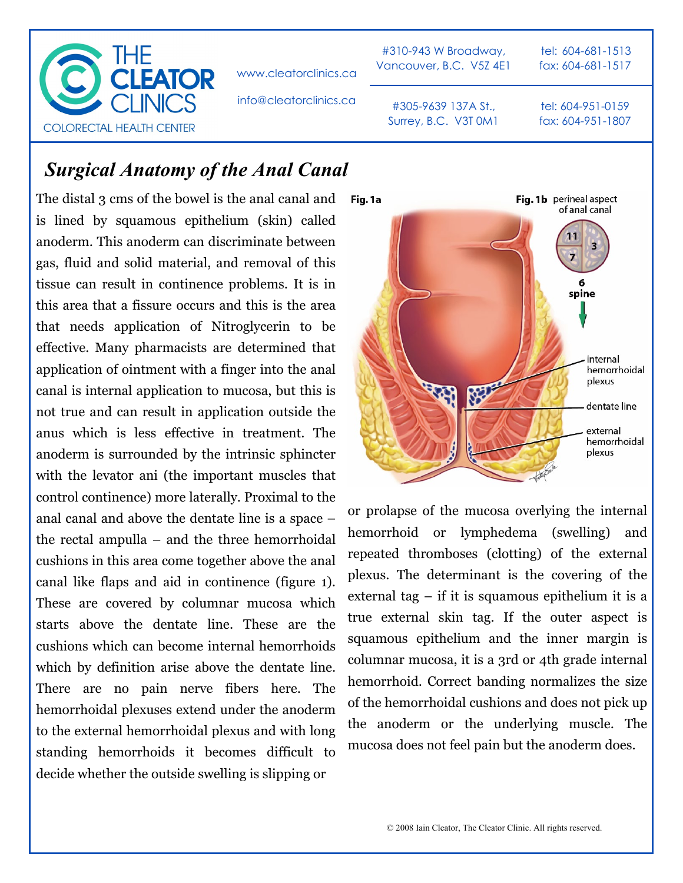

www.cleatorclinics.ca

info@cleatorclinics.ca

#310-943 W Broadway, Vancouver, B.C. V5Z 4E1

tel: 604-681-1513 fax: 604-681-1517

#305-9639 137A St., Surrey, B.C. V3T 0M1 tel: 604-951-0159 fax: 604-951-1807

## *Surgical Anatomy of the Anal Canal*

The distal 3 cms of the bowel is the anal canal and is lined by squamous epithelium (skin) called anoderm. This anoderm can discriminate between gas, fluid and solid material, and removal of this tissue can result in continence problems. It is in this area that a fissure occurs and this is the area that needs application of Nitroglycerin to be effective. Many pharmacists are determined that application of ointment with a finger into the anal canal is internal application to mucosa, but this is not true and can result in application outside the anus which is less effective in treatment. The anoderm is surrounded by the intrinsic sphincter with the levator ani (the important muscles that control continence) more laterally. Proximal to the anal canal and above the dentate line is a space – the rectal ampulla – and the three hemorrhoidal cushions in this area come together above the anal canal like flaps and aid in continence (figure 1). These are covered by columnar mucosa which starts above the dentate line. These are the cushions which can become internal hemorrhoids which by definition arise above the dentate line. There are no pain nerve fibers here. The hemorrhoidal plexuses extend under the anoderm to the external hemorrhoidal plexus and with long standing hemorrhoids it becomes difficult to decide whether the outside swelling is slipping or



or prolapse of the mucosa overlying the internal hemorrhoid or lymphedema (swelling) and repeated thromboses (clotting) of the external plexus. The determinant is the covering of the external tag – if it is squamous epithelium it is a true external skin tag. If the outer aspect is squamous epithelium and the inner margin is columnar mucosa, it is a 3rd or 4th grade internal hemorrhoid. Correct banding normalizes the size of the hemorrhoidal cushions and does not pick up the anoderm or the underlying muscle. The mucosa does not feel pain but the anoderm does.